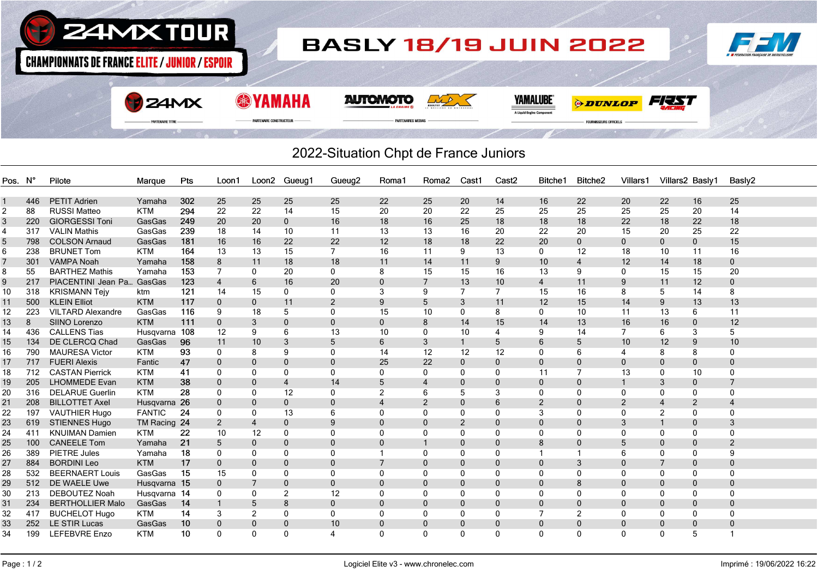

## 2022-Situation Chpt de France Juniors

| Pos. N°        |     | Pilote                   | Marque        | Pts | Loon1          |              | Loon2 Gueug1   | Gueug <sub>2</sub> | Roma1          | Roma <sub>2</sub> | Cast1          | Cast <sub>2</sub> | Bitche1        | Bitche <sub>2</sub> | Villars1       | Villars2 Basly1 |                | Basly2        |
|----------------|-----|--------------------------|---------------|-----|----------------|--------------|----------------|--------------------|----------------|-------------------|----------------|-------------------|----------------|---------------------|----------------|-----------------|----------------|---------------|
|                |     |                          |               |     |                |              |                |                    |                |                   |                |                   |                |                     |                |                 |                |               |
|                | 446 | <b>PETIT Adrien</b>      | Yamaha        | 302 | 25             | 25           | 25             | 25                 | 22             | 25                | 20             | 14                | 16             | 22                  | 20             | 22              | 16             | 25            |
| $\overline{2}$ | 88  | <b>RUSSI Matteo</b>      | <b>KTM</b>    | 294 | 22             | 22           | 14             | 15                 | 20             | 20                | 22             | 25                | 25             | 25                  | 25             | 25              | 20             | 14            |
| $\mathbf{3}$   | 220 | <b>GIORGESSI Toni</b>    | GasGas        | 249 | 20             | 20           | $\mathbf{0}$   | 16                 | 18             | 16                | 25             | 18                | 18             | 18                  | 22             | 18              | 22             | 18            |
| 4              | 317 | <b>VALIN Mathis</b>      | GasGas        | 239 | 18             | 14           | 10             | 11                 | 13             | 13                | 16             | 20                | 22             | 20                  | 15             | 20              | 25             | 22            |
| 5              | 798 | <b>COLSON Arnaud</b>     | GasGas        | 181 | 16             | 16           | 22             | 22                 | 12             | 18                | 18             | 22                | 20             | $\mathbf 0$         | 0              | $\mathbf{0}$    | $\mathbf 0$    | 15            |
| 6              | 238 | <b>BRUNET Tom</b>        | <b>KTM</b>    | 164 | 13             | 13           | 15             | $\overline{7}$     | 16             | 11                | 9              | 13                | $\mathbf 0$    | 12                  | 18             | 10              | 11             | 16            |
| $\overline{7}$ | 301 | <b>VAMPA Noah</b>        | Yamaha        | 158 | 8              | 11           | 18             | 18                 | 11             | 14                | 11             | 9                 | 10             | $\overline{4}$      | 12             | 14              | 18             | $\mathbf{0}$  |
| 8              | 55  | <b>BARTHEZ Mathis</b>    | Yamaha        | 153 | $\overline{7}$ | 0            | 20             | $\mathbf{0}$       | 8              | 15                | 15             | 16                | 13             | 9                   | $\mathbf{0}$   | 15              | 15             | 20            |
| 9              | 217 | PIACENTINI Jean Pa       | GasGas        | 123 | $\overline{4}$ | 6            | 16             | 20                 | $\mathbf{0}$   | $\overline{7}$    | 13             | 10                | $\overline{4}$ | 11                  | 9              | 11              | 12             | $\mathbf{0}$  |
| 10             | 318 | <b>KRISMANN Teiv</b>     | ktm           | 121 | 14             | 15           | 0              | $\mathbf{0}$       | 3              | 9                 | $\overline{7}$ | $\overline{7}$    | 15             | 16                  | 8              | 5               | 14             | 8             |
| 11             | 500 | <b>KLEIN Elliot</b>      | <b>KTM</b>    | 117 | $\mathbf{0}$   | $\mathbf{0}$ | 11             | 2                  | 9              | 5                 | 3              | 11                | 12             | 15                  | 14             | 9               | 13             | 13            |
| 12             | 223 | <b>VILTARD Alexandre</b> | GasGas        | 116 | 9              | 18           | 5              | 0                  | 15             | 10                | $\Omega$       | 8                 | 0              | 10                  | 11             | 13              | 6              | 11            |
| 13             | 8   | SIINO Lorenzo            | <b>KTM</b>    | 111 | $\mathbf 0$    | 3            | $\mathbf 0$    | $\Omega$           | $\mathbf{0}$   | 8                 | 14             | 15                | 14             | 13                  | 16             | 16              | $\mathbf 0$    | 12            |
| 14             | 436 | <b>CALLENS Tias</b>      | Husgvarna     | 108 | 12             | 9            | 6              | 13                 | 10             | $\Omega$          | 10             | $\overline{4}$    | 9              | 14                  | 7              | 6               | 3              | 5             |
| 15             | 134 | DE CLERCQ Chad           | GasGas        | 96  | 11             | 10           | 3              | 5                  | 6              | 3                 | $\mathbf{1}$   | 5                 | 6              | 5                   | 10             | 12              | 9              | 10            |
| 16             | 790 | <b>MAURESA Victor</b>    | <b>KTM</b>    | 93  | 0              | 8            | 9              | 0                  | 14             | 12                | 12             | 12                | $\mathbf{0}$   | 6                   | 4              | 8               | 8              | $\Omega$      |
| 17             | 717 | <b>FUERI Alexis</b>      | Fantic        | 47  | $\mathbf{0}$   | $\mathbf 0$  | $\mathbf 0$    | $\Omega$           | 25             | 22                | $\mathbf 0$    | $\mathbf{0}$      | $\mathbf 0$    | $\mathbf{0}$        | $\Omega$       | $\mathbf{0}$    | $\mathbf 0$    |               |
| 18             | 712 | <b>CASTAN Pierrick</b>   | <b>KTM</b>    | 41  | $\mathbf{0}$   | $\Omega$     | 0              | $\mathbf{0}$       | $\Omega$       | $\Omega$          | $\Omega$       | $\Omega$          | 11             | 7                   | 13             | $\Omega$        | 10             |               |
| 19             | 205 | <b>LHOMMEDE Evan</b>     | <b>KTM</b>    | 38  | $\mathbf{0}$   | $\mathbf{0}$ | $\overline{4}$ | 14                 | 5              | $\overline{4}$    | $\Omega$       | $\mathbf{0}$      | $\mathbf 0$    | $\mathbf{0}$        |                | 3               | $\mathbf 0$    |               |
| 20             | 316 | <b>DELARUE Guerlin</b>   | <b>KTM</b>    | 28  | 0              | 0            | 12             | $\Omega$           | $\overline{2}$ | 6                 | 5              | 3                 | $\mathbf{0}$   | $\Omega$            | $\Omega$       | 0               | 0              | $\Omega$      |
| 21             | 208 | <b>BILLOTTET Axel</b>    | Husqvarna 26  |     | $\mathbf{0}$   | $\mathbf{0}$ | $\mathbf{0}$   | $\Omega$           | $\overline{4}$ | 2                 | $\Omega$       | 6                 | 2              | $\Omega$            | $\overline{2}$ |                 | $\overline{2}$ |               |
| 22             | 197 | <b>VAUTHIER Hugo</b>     | <b>FANTIC</b> | 24  | 0              | 0            | 13             | 6                  | $\Omega$       | $\Omega$          | $\Omega$       | $\Omega$          | 3              | $\Omega$            | $\Omega$       | $\overline{2}$  | 0              |               |
| 23             | 619 | <b>STIENNES Hugo</b>     | TM Racing 24  |     | $\overline{2}$ | 4            | $\mathbf 0$    | 9                  | $\Omega$       | $\Omega$          | $\overline{2}$ | $\Omega$          | $\Omega$       | $\overline{0}$      | 3              |                 | $\mathbf 0$    | 3             |
| 24             | 411 | <b>KNUIMAN Damien</b>    | <b>KTM</b>    | 22  | 10             | 12           | 0              | $\Omega$           | $\Omega$       | $\Omega$          | $\Omega$       | $\Omega$          | $\Omega$       | $\Omega$            | 0              | $\Omega$        | 0              |               |
| 25             | 100 | <b>CANEELE Tom</b>       | Yamaha        | 21  | 5              | $\Omega$     | $\mathbf 0$    | $\Omega$           | $\Omega$       |                   | $\Omega$       | $\Omega$          | 8              | $\Omega$            | 5              | $\Omega$        | $\mathbf 0$    | $\mathcal{P}$ |
| 26             | 389 | <b>PIETRE Jules</b>      | Yamaha        | 18  | 0              | 0            | 0              | 0                  |                | $\mathbf{0}$      |                | $\Omega$          |                |                     | 6              | 0               | 0              |               |
| 27             | 884 | <b>BORDINI Leo</b>       | <b>KTM</b>    | 17  | $\mathbf{0}$   | 0            | $\mathbf 0$    | $\Omega$           | $\overline{7}$ | $\mathbf 0$       | $\Omega$       | $\mathbf{0}$      | $\mathbf 0$    | 3                   | $\mathbf{0}$   |                 | $\mathbf 0$    |               |
| 28             | 532 | <b>BEERNAERT Louis</b>   | GasGas        | 15  | 15             | 0            | 0              | $\Omega$           | $\Omega$       | $\Omega$          | $\Omega$       | $\Omega$          | 0              | $\Omega$            | $\Omega$       | $\Omega$        | 0              |               |
| 29             | 512 | DE WAELE Uwe             | Husgvarna 15  |     | $\mathbf{0}$   | 7            | $\mathbf{0}$   | $\Omega$           | $\mathbf{0}$   | $\mathbf 0$       | $\mathbf{0}$   | $\mathbf{0}$      | $\mathbf 0$    | 8                   | $\mathbf{0}$   | $\Omega$        | $\mathbf 0$    |               |
| 30             | 213 | <b>DEBOUTEZ Noah</b>     | Husqvarna 14  |     | 0              | 0            | 2              | 12                 | $\Omega$       | $\Omega$          | $\Omega$       | $\Omega$          | 0              | 0                   | $\Omega$       | $\Omega$        | 0              |               |
| 31             | 234 | <b>BERTHOLLIER Malo</b>  | GasGas        | 14  | $\mathbf{1}$   | 5            | 8              | $\Omega$           | $\Omega$       | $\mathbf{0}$      | $\mathbf{0}$   | $\mathbf{0}$      | $\mathbf 0$    | $\overline{0}$      | $\mathbf{0}$   | $\mathbf{0}$    | $\mathbf 0$    |               |
| 32             | 417 | <b>BUCHELOT Hugo</b>     | <b>KTM</b>    | 14  | 3              | 2            | 0              | $\mathbf{0}$       | $\mathbf{0}$   | 0                 | $\Omega$       | $\mathbf{0}$      | $\overline{7}$ | $\overline{2}$      | $\Omega$       | $\mathbf{0}$    | 0              | $\Omega$      |
| 33             | 252 | <b>LE STIR Lucas</b>     | GasGas        | 10  | $\mathbf{0}$   | $\mathbf 0$  | $\mathbf 0$    | 10                 | $\mathbf{0}$   | 0                 | $\Omega$       | $\mathbf 0$       | $\mathbf 0$    | $\mathbf 0$         | 0              | $\mathbf{0}$    | $\mathbf 0$    |               |
| 34             | 199 | <b>LEFEBVRE Enzo</b>     | <b>KTM</b>    | 10  | $\mathbf{0}$   | $\mathbf{0}$ | 0              | 4                  | $\Omega$       | $\mathbf{0}$      | $\Omega$       | $\mathbf{0}$      | 0              | $\mathbf{0}$        | $\Omega$       | $\mathbf{0}$    | 5              |               |
|                |     |                          |               |     |                |              |                |                    |                |                   |                |                   |                |                     |                |                 |                |               |